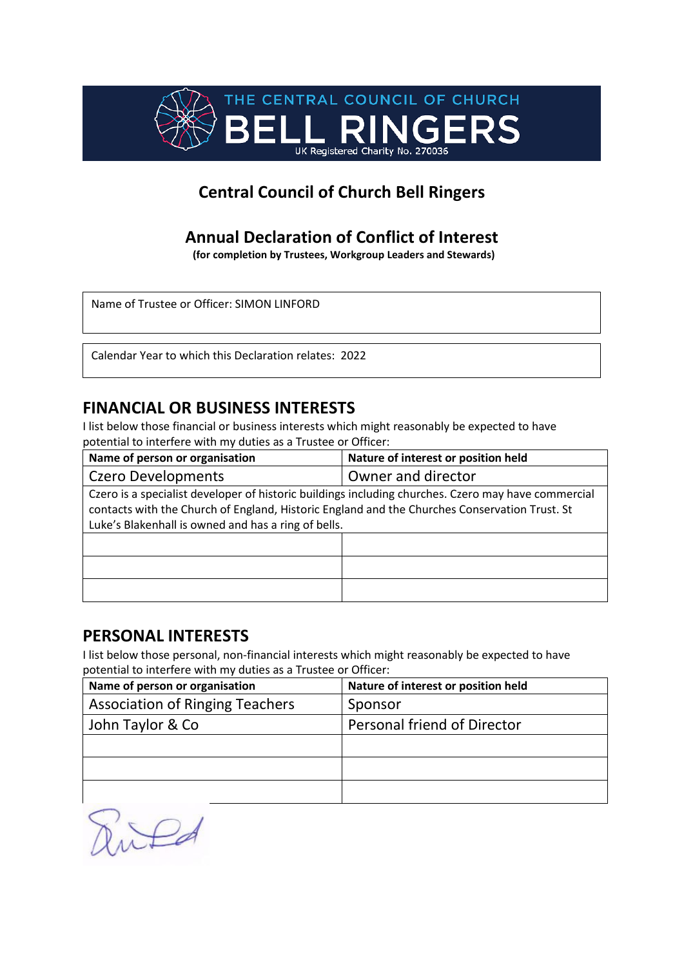

# **Annual Declaration of Conflict of Interest**

**(for completion by Trustees, Workgroup Leaders and Stewards)**

Name of Trustee or Officer: SIMON LINFORD

Calendar Year to which this Declaration relates: 2022

## **FINANCIAL OR BUSINESS INTERESTS**

I list below those financial or business interests which might reasonably be expected to have potential to interfere with my duties as a Trustee or Officer:

| Name of person or organisation                                                                                                                                                                                                                              | Nature of interest or position held |
|-------------------------------------------------------------------------------------------------------------------------------------------------------------------------------------------------------------------------------------------------------------|-------------------------------------|
| <b>Czero Developments</b>                                                                                                                                                                                                                                   | Owner and director                  |
| Czero is a specialist developer of historic buildings including churches. Czero may have commercial<br>contacts with the Church of England, Historic England and the Churches Conservation Trust. St<br>Luke's Blakenhall is owned and has a ring of bells. |                                     |
|                                                                                                                                                                                                                                                             |                                     |
|                                                                                                                                                                                                                                                             |                                     |
|                                                                                                                                                                                                                                                             |                                     |

#### **PERSONAL INTERESTS**

| Name of person or organisation         | Nature of interest or position held |
|----------------------------------------|-------------------------------------|
| <b>Association of Ringing Teachers</b> | Sponsor                             |
| John Taylor & Co                       | Personal friend of Director         |
|                                        |                                     |
|                                        |                                     |
|                                        |                                     |

Puted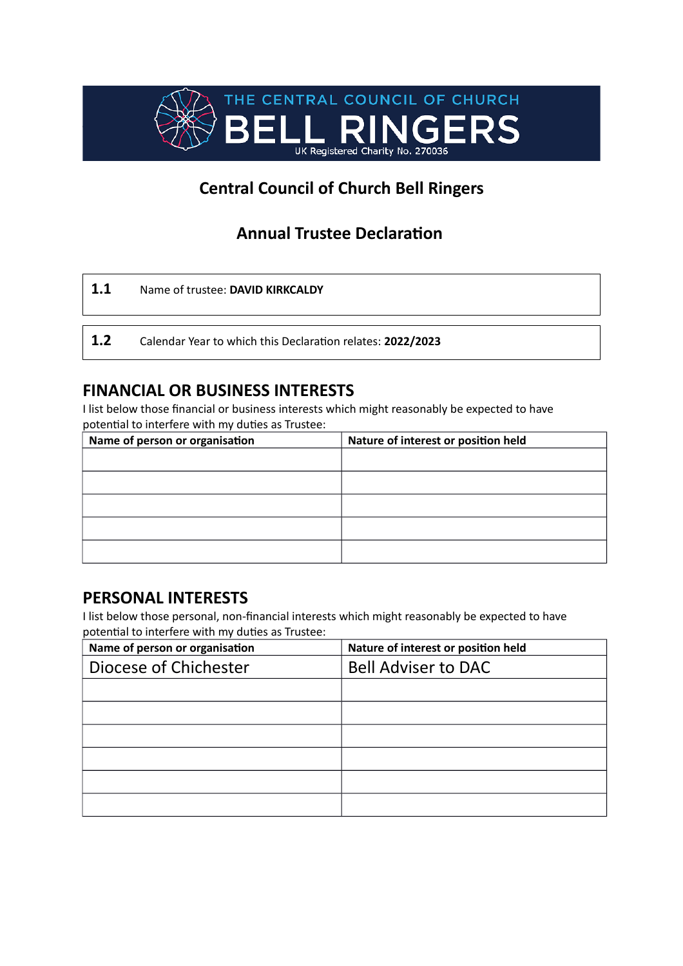

# **Annual Trustee Declaration**

| 1.1 | Name of trustee: DAVID KIRKCALDY                           |
|-----|------------------------------------------------------------|
|     |                                                            |
| 1.2 | Calendar Year to which this Declaration relates: 2022/2023 |

## **FINANCIAL OR BUSINESS INTERESTS**

I list below those financial or business interests which might reasonably be expected to have potential to interfere with my duties as Trustee:

| Name of person or organisation | Nature of interest or position held |
|--------------------------------|-------------------------------------|
|                                |                                     |
|                                |                                     |
|                                |                                     |
|                                |                                     |
|                                |                                     |
|                                |                                     |

### **PERSONAL INTERESTS**

| Name of person or organisation | Nature of interest or position held |
|--------------------------------|-------------------------------------|
| Diocese of Chichester          | <b>Bell Adviser to DAC</b>          |
|                                |                                     |
|                                |                                     |
|                                |                                     |
|                                |                                     |
|                                |                                     |
|                                |                                     |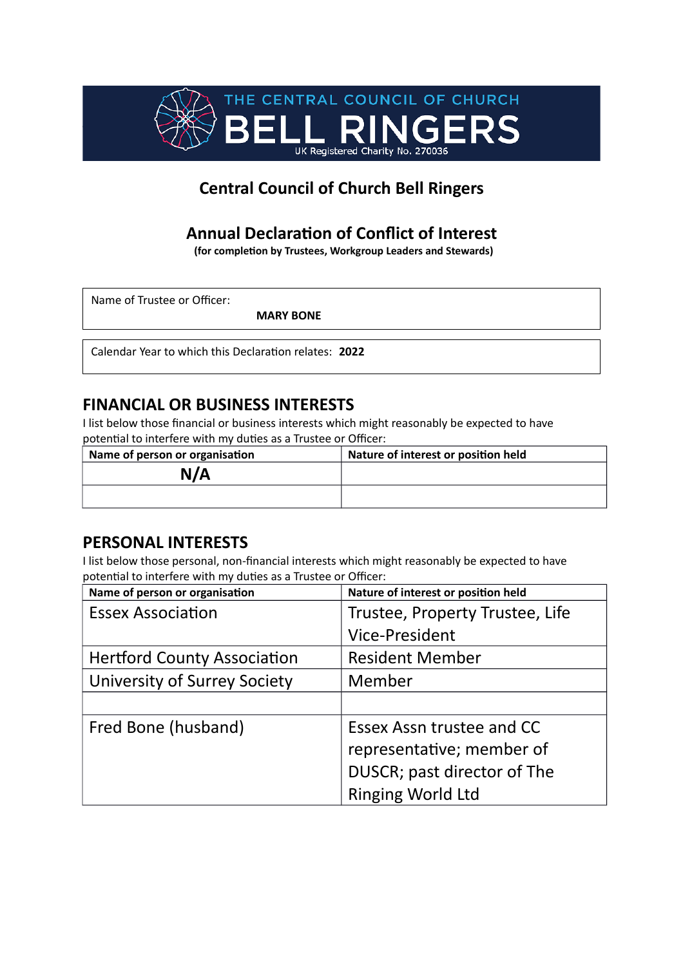

# **Annual Declaration of Conflict of Interest**

**(for completion by Trustees, Workgroup Leaders and Stewards)**

Name of Trustee or Officer:

**MARY BONE**

Calendar Year to which this Declaration relates: **2022**

## **FINANCIAL OR BUSINESS INTERESTS**

I list below those financial or business interests which might reasonably be expected to have potential to interfere with my duties as a Trustee or Officer:

| Name of person or organisation | Nature of interest or position held |
|--------------------------------|-------------------------------------|
| N/A                            |                                     |
|                                |                                     |

### **PERSONAL INTERESTS**

| Name of person or organisation      | Nature of interest or position held |
|-------------------------------------|-------------------------------------|
| <b>Essex Association</b>            | Trustee, Property Trustee, Life     |
|                                     | <b>Vice-President</b>               |
| <b>Hertford County Association</b>  | <b>Resident Member</b>              |
| <b>University of Surrey Society</b> | Member                              |
|                                     |                                     |
| Fred Bone (husband)                 | Essex Assn trustee and CC           |
|                                     | representative; member of           |
|                                     | DUSCR; past director of The         |
|                                     | <b>Ringing World Ltd</b>            |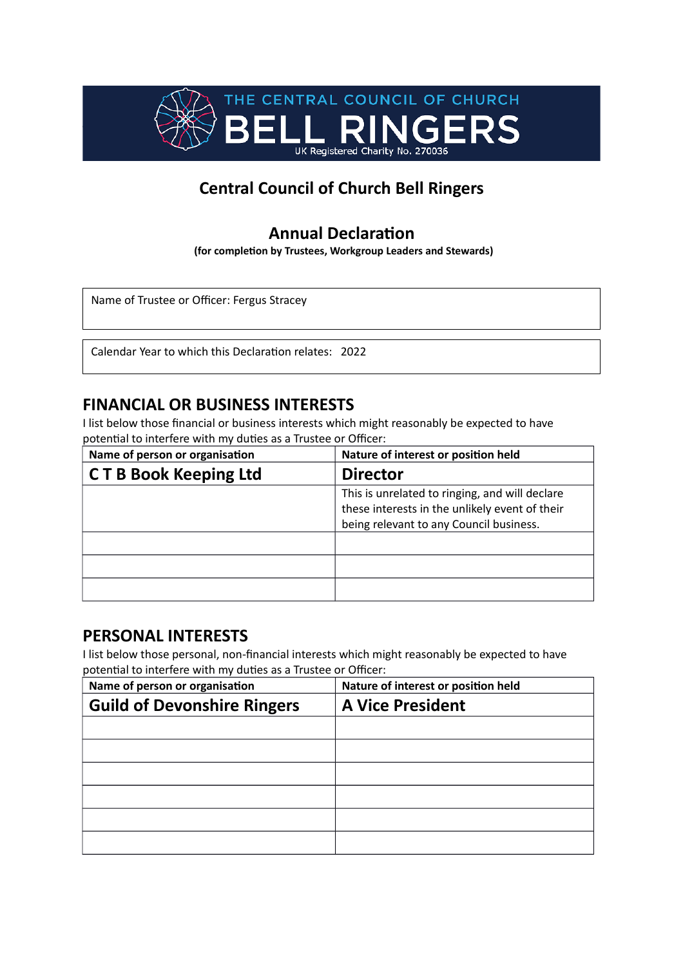

### **Annual Declaration**

**(for completion by Trustees, Workgroup Leaders and Stewards)**

Name of Trustee or Officer: Fergus Stracey

Calendar Year to which this Declaration relates: 2022

#### **FINANCIAL OR BUSINESS INTERESTS**

I list below those financial or business interests which might reasonably be expected to have potential to interfere with my duties as a Trustee or Officer:

| Name of person or organisation | Nature of interest or position held                                                              |
|--------------------------------|--------------------------------------------------------------------------------------------------|
| <b>CTB Book Keeping Ltd</b>    | <b>Director</b>                                                                                  |
|                                | This is unrelated to ringing, and will declare<br>these interests in the unlikely event of their |
|                                | being relevant to any Council business.                                                          |
|                                |                                                                                                  |
|                                |                                                                                                  |
|                                |                                                                                                  |

#### **PERSONAL INTERESTS**

| Name of person or organisation     | Nature of interest or position held |
|------------------------------------|-------------------------------------|
| <b>Guild of Devonshire Ringers</b> | <b>A Vice President</b>             |
|                                    |                                     |
|                                    |                                     |
|                                    |                                     |
|                                    |                                     |
|                                    |                                     |
|                                    |                                     |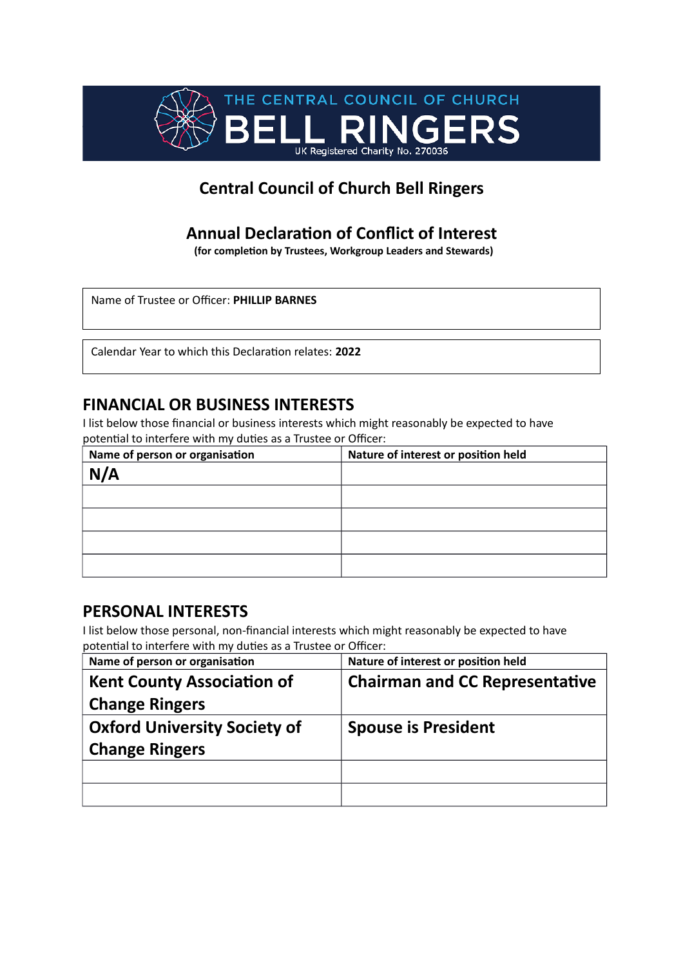

# **Annual Declaration of Conflict of Interest**

**(for completion by Trustees, Workgroup Leaders and Stewards)**

Name of Trustee or Officer: **PHILLIP BARNES**

Calendar Year to which this Declaration relates: **2022**

#### **FINANCIAL OR BUSINESS INTERESTS**

I list below those financial or business interests which might reasonably be expected to have potential to interfere with my duties as a Trustee or Officer:

| Name of person or organisation | Nature of interest or position held |
|--------------------------------|-------------------------------------|
| N/A                            |                                     |
|                                |                                     |
|                                |                                     |
|                                |                                     |
|                                |                                     |

### **PERSONAL INTERESTS**

| Name of person or organisation      | Nature of interest or position held   |
|-------------------------------------|---------------------------------------|
| <b>Kent County Association of</b>   | <b>Chairman and CC Representative</b> |
| <b>Change Ringers</b>               |                                       |
| <b>Oxford University Society of</b> | <b>Spouse is President</b>            |
| <b>Change Ringers</b>               |                                       |
|                                     |                                       |
|                                     |                                       |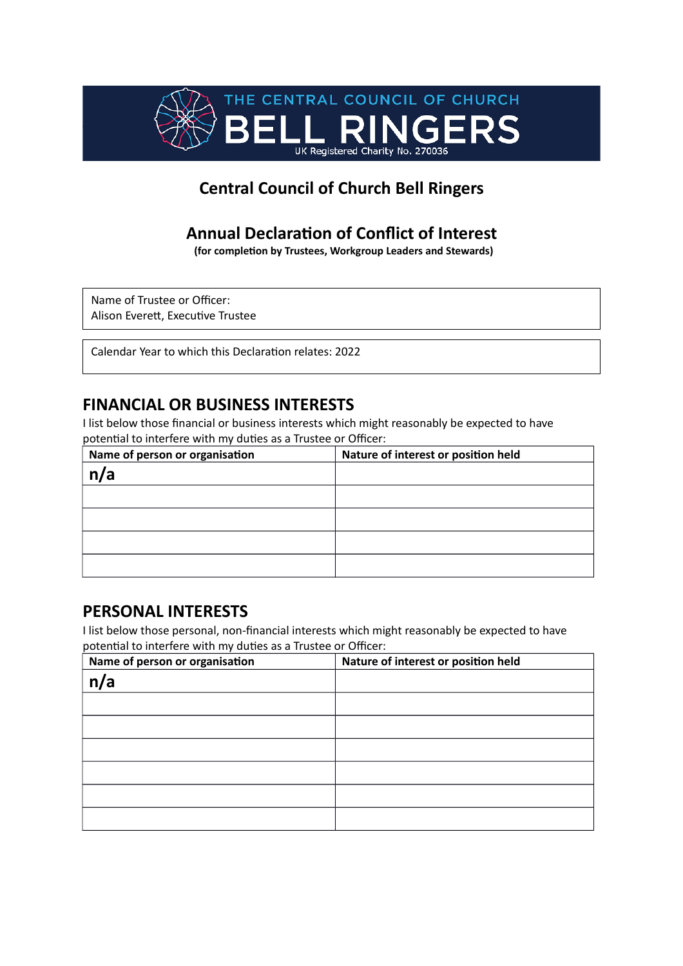

## **Annual Declaration of Conflict of Interest**

**(for completion by Trustees, Workgroup Leaders and Stewards)**

Name of Trustee or Officer: Alison Everett, Executive Trustee

Calendar Year to which this Declaration relates: 2022

### **FINANCIAL OR BUSINESS INTERESTS**

I list below those financial or business interests which might reasonably be expected to have potential to interfere with my duties as a Trustee or Officer:

| Name of person or organisation | Nature of interest or position held |
|--------------------------------|-------------------------------------|
| n/a                            |                                     |
|                                |                                     |
|                                |                                     |
|                                |                                     |
|                                |                                     |

## **PERSONAL INTERESTS**

| Name of person or organisation | Nature of interest or position held |
|--------------------------------|-------------------------------------|
| n/a                            |                                     |
|                                |                                     |
|                                |                                     |
|                                |                                     |
|                                |                                     |
|                                |                                     |
|                                |                                     |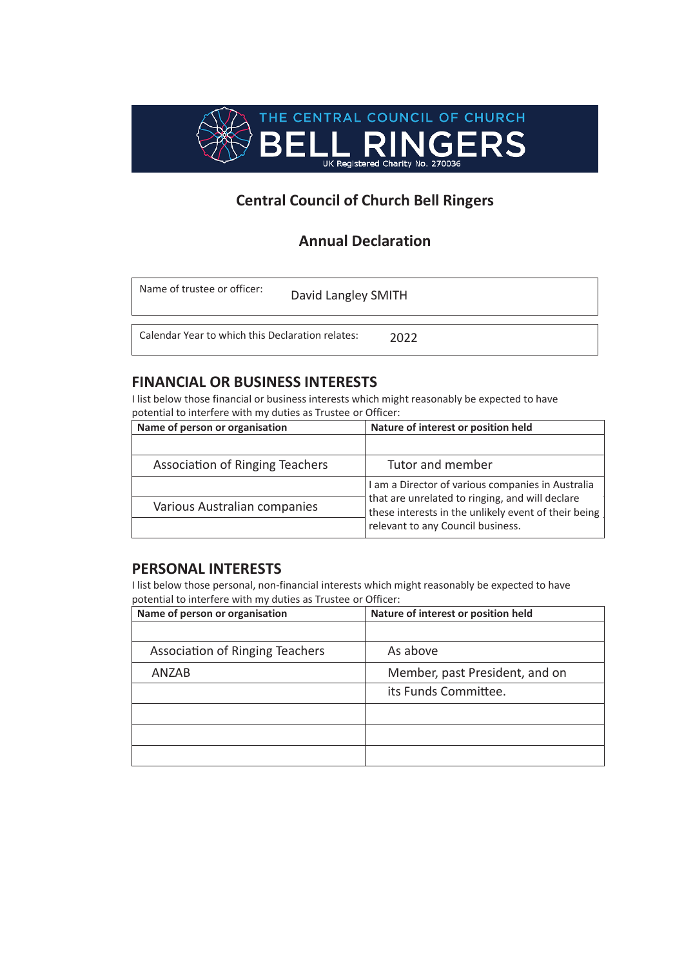

#### **Annual Declaration**

| Name of trustee or officer:                      | David Langley SMITH |      |  |
|--------------------------------------------------|---------------------|------|--|
| Calendar Year to which this Declaration relates: |                     | 2022 |  |

#### **FINANCIAL OR BUSINESS INTERESTS**

I list below those financial or business interests which might reasonably be expected to have potential to interfere with my duties as Trustee or Officer:

| Name of person or organisation  | Nature of interest or position held                                                                     |  |
|---------------------------------|---------------------------------------------------------------------------------------------------------|--|
|                                 |                                                                                                         |  |
| Association of Ringing Teachers | Tutor and member                                                                                        |  |
|                                 | I am a Director of various companies in Australia                                                       |  |
| Various Australian companies    | that are unrelated to ringing, and will declare<br>these interests in the unlikely event of their being |  |
|                                 | relevant to any Council business.                                                                       |  |

#### **PERSONAL INTERESTS**

| Name of person or organisation         | Nature of interest or position held |
|----------------------------------------|-------------------------------------|
|                                        |                                     |
| <b>Association of Ringing Teachers</b> | As above                            |
| ANZAB                                  | Member, past President, and on      |
|                                        | its Funds Committee.                |
|                                        |                                     |
|                                        |                                     |
|                                        |                                     |